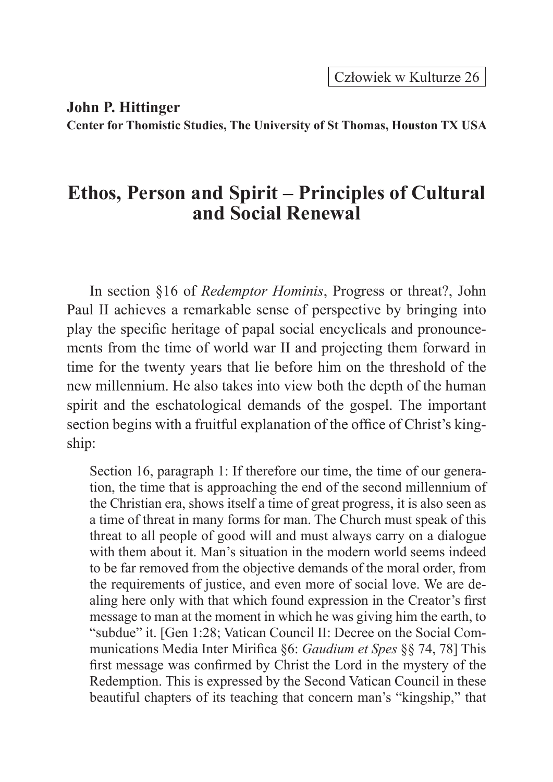Człowiek w Kulturze 26

**John P. Hittinger**

**Center for Thomistic Studies, The University of St Thomas, Houston TX USA**

## **Ethos, Person and Spirit – Principles of Cultural and Social Renewal**

In section §16 of *Redemptor Hominis*, Progress or threat?, John Paul II achieves a remarkable sense of perspective by bringing into play the specific heritage of papal social encyclicals and pronouncements from the time of world war II and projecting them forward in time for the twenty years that lie before him on the threshold of the new millennium. He also takes into view both the depth of the human spirit and the eschatological demands of the gospel. The important section begins with a fruitful explanation of the office of Christ's kingship:

Section 16, paragraph 1: If therefore our time, the time of our generation, the time that is approaching the end of the second millennium of the Christian era, shows itself a time of great progress, it is also seen as a time of threat in many forms for man. The Church must speak of this threat to all people of good will and must always carry on a dialogue with them about it. Man's situation in the modern world seems indeed to be far removed from the objective demands of the moral order, from the requirements of justice, and even more of social love. We are dealing here only with that which found expression in the Creator's first message to man at the moment in which he was giving him the earth, to "subdue" it. [Gen 1:28; Vatican Council II: Decree on the Social Communications Media Inter Mirifica §6: *Gaudium et Spes* §§ 74, 78] This first message was confirmed by Christ the Lord in the mystery of the Redemption. This is expressed by the Second Vatican Council in these beautiful chapters of its teaching that concern man's "kingship," that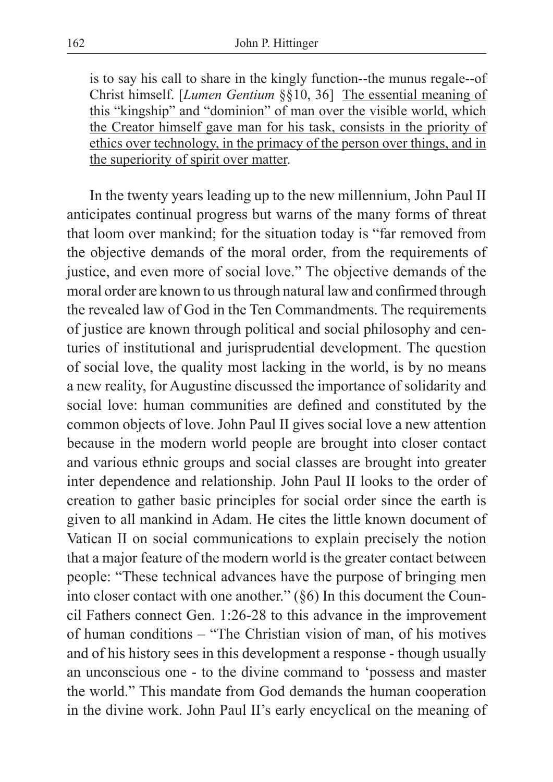is to say his call to share in the kingly function--the munus regale--of Christ himself. [*Lumen Gentium* §§10, 36] The essential meaning of this "kingship" and "dominion" of man over the visible world, which the Creator himself gave man for his task, consists in the priority of ethics over technology, in the primacy of the person over things, and in the superiority of spirit over matter.

In the twenty years leading up to the new millennium, John Paul II anticipates continual progress but warns of the many forms of threat that loom over mankind; for the situation today is "far removed from the objective demands of the moral order, from the requirements of justice, and even more of social love." The objective demands of the moral order are known to us through natural law and confirmed through the revealed law of God in the Ten Commandments. The requirements of justice are known through political and social philosophy and centuries of institutional and jurisprudential development. The question of social love, the quality most lacking in the world, is by no means a new reality, for Augustine discussed the importance of solidarity and social love: human communities are defined and constituted by the common objects of love. John Paul II gives social love a new attention because in the modern world people are brought into closer contact and various ethnic groups and social classes are brought into greater inter dependence and relationship. John Paul II looks to the order of creation to gather basic principles for social order since the earth is given to all mankind in Adam. He cites the little known document of Vatican II on social communications to explain precisely the notion that a major feature of the modern world is the greater contact between people: "These technical advances have the purpose of bringing men into closer contact with one another." (§6) In this document the Council Fathers connect Gen. 1:26-28 to this advance in the improvement of human conditions – "The Christian vision of man, of his motives and of his history sees in this development a response - though usually an unconscious one - to the divine command to 'possess and master the world." This mandate from God demands the human cooperation in the divine work. John Paul II's early encyclical on the meaning of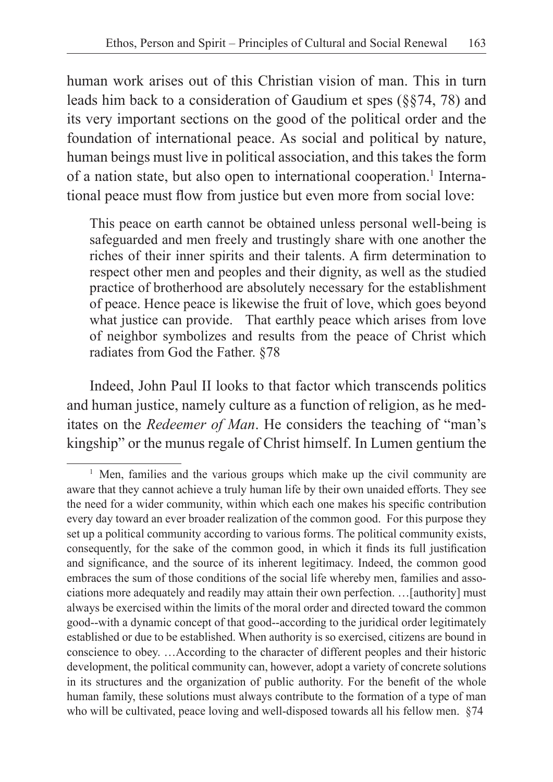human work arises out of this Christian vision of man. This in turn leads him back to a consideration of Gaudium et spes (§§74, 78) and its very important sections on the good of the political order and the foundation of international peace. As social and political by nature, human beings must live in political association, and this takes the form of a nation state, but also open to international cooperation.<sup>1</sup> International peace must flow from justice but even more from social love:

This peace on earth cannot be obtained unless personal well-being is safeguarded and men freely and trustingly share with one another the riches of their inner spirits and their talents. A firm determination to respect other men and peoples and their dignity, as well as the studied practice of brotherhood are absolutely necessary for the establishment of peace. Hence peace is likewise the fruit of love, which goes beyond what justice can provide. That earthly peace which arises from love of neighbor symbolizes and results from the peace of Christ which radiates from God the Father. §78

Indeed, John Paul II looks to that factor which transcends politics and human justice, namely culture as a function of religion, as he meditates on the *Redeemer of Man*. He considers the teaching of "man's kingship" or the munus regale of Christ himself. In Lumen gentium the

<sup>&</sup>lt;sup>1</sup> Men, families and the various groups which make up the civil community are aware that they cannot achieve a truly human life by their own unaided efforts. They see the need for a wider community, within which each one makes his specific contribution every day toward an ever broader realization of the common good. For this purpose they set up a political community according to various forms. The political community exists, consequently, for the sake of the common good, in which it finds its full justification and significance, and the source of its inherent legitimacy. Indeed, the common good embraces the sum of those conditions of the social life whereby men, families and associations more adequately and readily may attain their own perfection. …[authority] must always be exercised within the limits of the moral order and directed toward the common good--with a dynamic concept of that good--according to the juridical order legitimately established or due to be established. When authority is so exercised, citizens are bound in conscience to obey. …According to the character of different peoples and their historic development, the political community can, however, adopt a variety of concrete solutions in its structures and the organization of public authority. For the benefit of the whole human family, these solutions must always contribute to the formation of a type of man who will be cultivated, peace loving and well-disposed towards all his fellow men. §74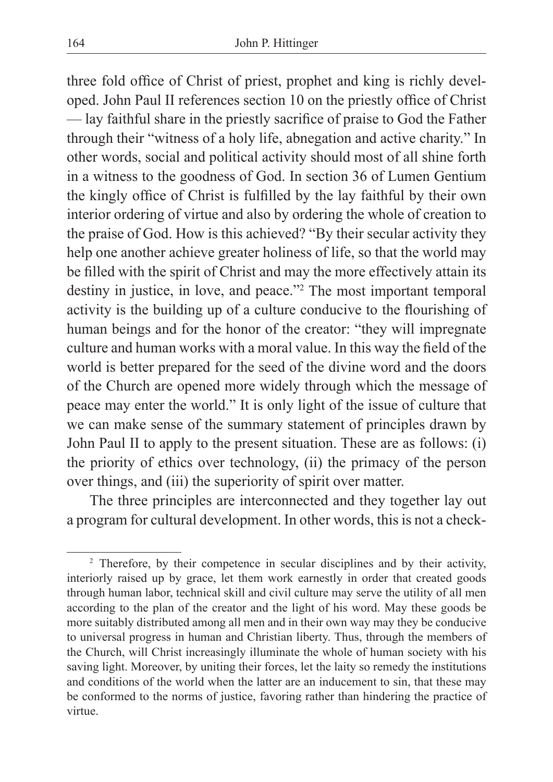three fold office of Christ of priest, prophet and king is richly developed. John Paul II references section 10 on the priestly office of Christ — lay faithful share in the priestly sacrifice of praise to God the Father through their "witness of a holy life, abnegation and active charity." In other words, social and political activity should most of all shine forth in a witness to the goodness of God. In section 36 of Lumen Gentium the kingly office of Christ is fulfilled by the lay faithful by their own interior ordering of virtue and also by ordering the whole of creation to the praise of God. How is this achieved? "By their secular activity they help one another achieve greater holiness of life, so that the world may be filled with the spirit of Christ and may the more effectively attain its destiny in justice, in love, and peace."2 The most important temporal activity is the building up of a culture conducive to the flourishing of human beings and for the honor of the creator: "they will impregnate culture and human works with a moral value. In this way the field of the world is better prepared for the seed of the divine word and the doors of the Church are opened more widely through which the message of peace may enter the world." It is only light of the issue of culture that we can make sense of the summary statement of principles drawn by John Paul II to apply to the present situation. These are as follows: (i) the priority of ethics over technology, (ii) the primacy of the person over things, and (iii) the superiority of spirit over matter.

The three principles are interconnected and they together lay out a program for cultural development. In other words, this is not a check-

<sup>2</sup> Therefore, by their competence in secular disciplines and by their activity, interiorly raised up by grace, let them work earnestly in order that created goods through human labor, technical skill and civil culture may serve the utility of all men according to the plan of the creator and the light of his word. May these goods be more suitably distributed among all men and in their own way may they be conducive to universal progress in human and Christian liberty. Thus, through the members of the Church, will Christ increasingly illuminate the whole of human society with his saving light. Moreover, by uniting their forces, let the laity so remedy the institutions and conditions of the world when the latter are an inducement to sin, that these may be conformed to the norms of justice, favoring rather than hindering the practice of virtue.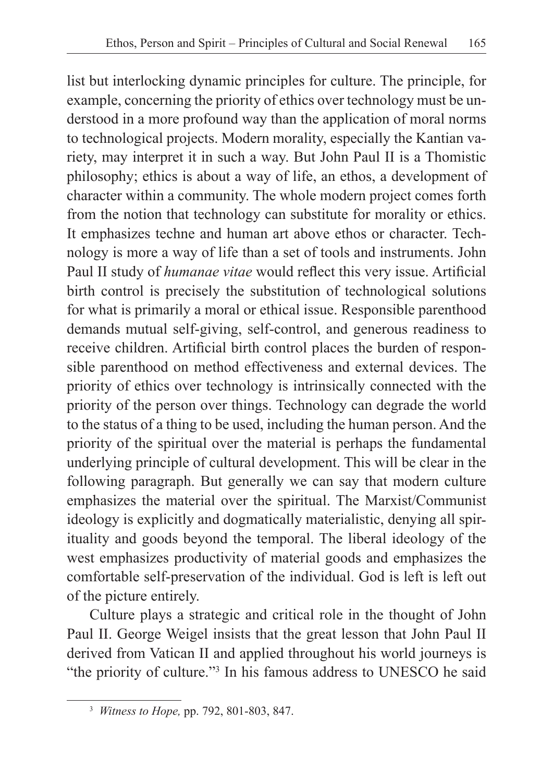list but interlocking dynamic principles for culture. The principle, for example, concerning the priority of ethics over technology must be understood in a more profound way than the application of moral norms to technological projects. Modern morality, especially the Kantian variety, may interpret it in such a way. But John Paul II is a Thomistic philosophy; ethics is about a way of life, an ethos, a development of character within a community. The whole modern project comes forth from the notion that technology can substitute for morality or ethics. It emphasizes techne and human art above ethos or character. Technology is more a way of life than a set of tools and instruments. John Paul II study of *humanae vitae* would reflect this very issue. Artificial birth control is precisely the substitution of technological solutions for what is primarily a moral or ethical issue. Responsible parenthood demands mutual self-giving, self-control, and generous readiness to receive children. Artificial birth control places the burden of responsible parenthood on method effectiveness and external devices. The priority of ethics over technology is intrinsically connected with the priority of the person over things. Technology can degrade the world to the status of a thing to be used, including the human person. And the priority of the spiritual over the material is perhaps the fundamental underlying principle of cultural development. This will be clear in the following paragraph. But generally we can say that modern culture emphasizes the material over the spiritual. The Marxist/Communist ideology is explicitly and dogmatically materialistic, denying all spirituality and goods beyond the temporal. The liberal ideology of the west emphasizes productivity of material goods and emphasizes the comfortable self-preservation of the individual. God is left is left out of the picture entirely.

Culture plays a strategic and critical role in the thought of John Paul II. George Weigel insists that the great lesson that John Paul II derived from Vatican II and applied throughout his world journeys is "the priority of culture."<sup>3</sup> In his famous address to UNESCO he said

<sup>3</sup> *Witness to Hope,* pp. 792, 801-803, 847.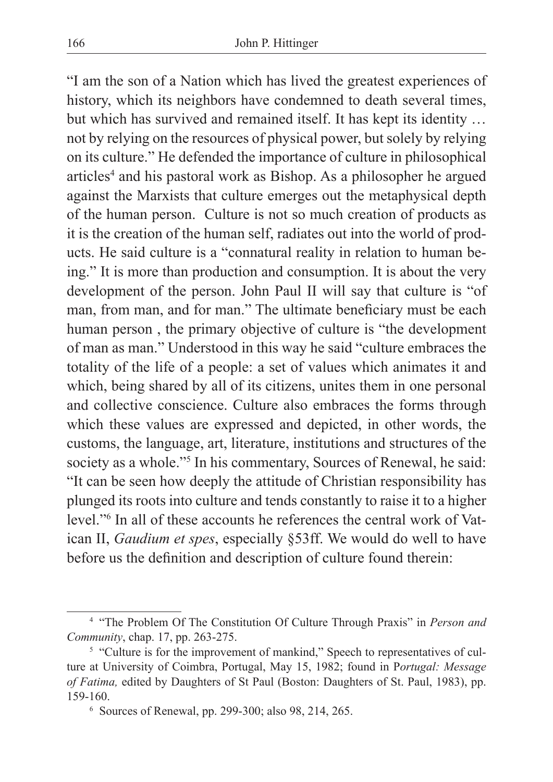"I am the son of a Nation which has lived the greatest experiences of history, which its neighbors have condemned to death several times, but which has survived and remained itself. It has kept its identity … not by relying on the resources of physical power, but solely by relying on its culture." He defended the importance of culture in philosophical articles<sup>4</sup> and his pastoral work as Bishop. As a philosopher he argued against the Marxists that culture emerges out the metaphysical depth of the human person. Culture is not so much creation of products as it is the creation of the human self, radiates out into the world of products. He said culture is a "connatural reality in relation to human being." It is more than production and consumption. It is about the very development of the person. John Paul II will say that culture is "of man, from man, and for man." The ultimate beneficiary must be each human person , the primary objective of culture is "the development of man as man." Understood in this way he said "culture embraces the totality of the life of a people: a set of values which animates it and which, being shared by all of its citizens, unites them in one personal and collective conscience. Culture also embraces the forms through which these values are expressed and depicted, in other words, the customs, the language, art, literature, institutions and structures of the society as a whole."<sup>5</sup> In his commentary, Sources of Renewal, he said: "It can be seen how deeply the attitude of Christian responsibility has plunged its roots into culture and tends constantly to raise it to a higher level."<sup>6</sup> In all of these accounts he references the central work of Vatican II, *Gaudium et spes*, especially §53ff. We would do well to have before us the definition and description of culture found therein:

<sup>4</sup> "The Problem Of The Constitution Of Culture Through Praxis" in *Person and Community*, chap. 17, pp. 263-275.

<sup>&</sup>lt;sup>5</sup> "Culture is for the improvement of mankind," Speech to representatives of culture at University of Coimbra, Portugal, May 15, 1982; found in P*ortugal: Message of Fatima,* edited by Daughters of St Paul (Boston: Daughters of St. Paul, 1983), pp. 159-160.

<sup>6</sup> Sources of Renewal, pp. 299-300; also 98, 214, 265.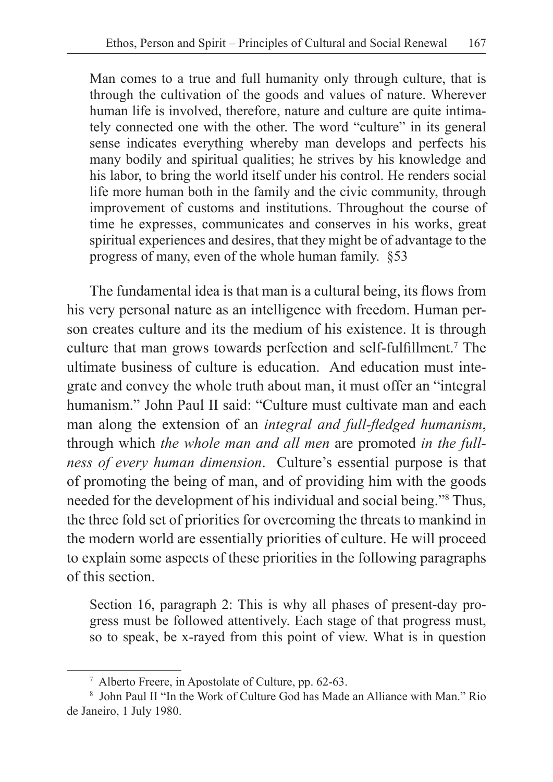Man comes to a true and full humanity only through culture, that is through the cultivation of the goods and values of nature. Wherever human life is involved, therefore, nature and culture are quite intimately connected one with the other. The word "culture" in its general sense indicates everything whereby man develops and perfects his many bodily and spiritual qualities; he strives by his knowledge and his labor, to bring the world itself under his control. He renders social life more human both in the family and the civic community, through improvement of customs and institutions. Throughout the course of time he expresses, communicates and conserves in his works, great spiritual experiences and desires, that they might be of advantage to the progress of many, even of the whole human family. §53

The fundamental idea is that man is a cultural being, its flows from his very personal nature as an intelligence with freedom. Human person creates culture and its the medium of his existence. It is through culture that man grows towards perfection and self-fulfillment.7 The ultimate business of culture is education. And education must integrate and convey the whole truth about man, it must offer an "integral humanism." John Paul II said: "Culture must cultivate man and each man along the extension of an *integral and full-fledged humanism*, through which *the whole man and all men* are promoted *in the fullness of every human dimension*. Culture's essential purpose is that of promoting the being of man, and of providing him with the goods needed for the development of his individual and social being."8 Thus, the three fold set of priorities for overcoming the threats to mankind in the modern world are essentially priorities of culture. He will proceed to explain some aspects of these priorities in the following paragraphs of this section.

Section 16, paragraph 2: This is why all phases of present-day progress must be followed attentively. Each stage of that progress must, so to speak, be x-rayed from this point of view. What is in question

<sup>7</sup> Alberto Freere, in Apostolate of Culture, pp. 62-63.

<sup>8</sup> John Paul II "In the Work of Culture God has Made an Alliance with Man." Rio de Janeiro, 1 July 1980.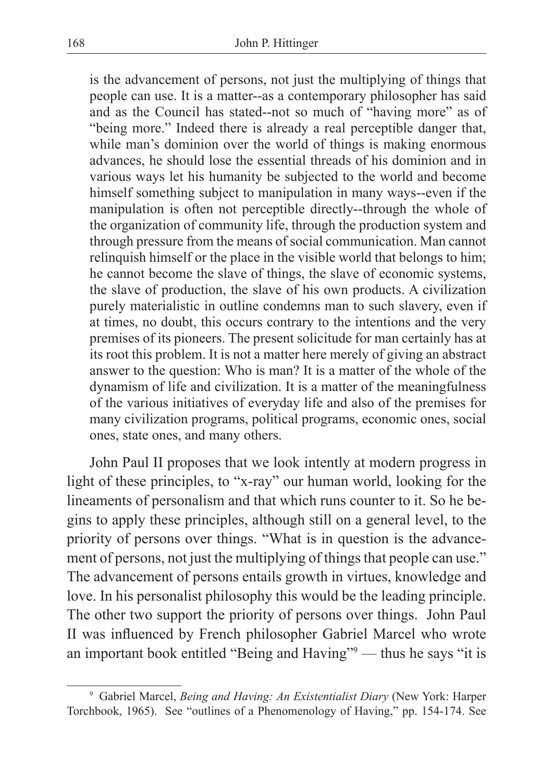is the advancement of persons, not just the multiplying of things that people can use. It is a matter--as a contemporary philosopher has said and as the Council has stated--not so much of "having more" as of "being more." Indeed there is already a real perceptible danger that, while man's dominion over the world of things is making enormous advances, he should lose the essential threads of his dominion and in various ways let his humanity be subjected to the world and become himself something subject to manipulation in many ways--even if the manipulation is often not perceptible directly--through the whole of the organization of community life, through the production system and through pressure from the means of social communication. Man cannot relinquish himself or the place in the visible world that belongs to him; he cannot become the slave of things, the slave of economic systems, the slave of production, the slave of his own products. A civilization purely materialistic in outline condemns man to such slavery, even if at times, no doubt, this occurs contrary to the intentions and the very premises of its pioneers. The present solicitude for man certainly has at its root this problem. It is not a matter here merely of giving an abstract answer to the question: Who is man? It is a matter of the whole of the dynamism of life and civilization. It is a matter of the meaningfulness of the various initiatives of everyday life and also of the premises for many civilization programs, political programs, economic ones, social ones, state ones, and many others.

John Paul II proposes that we look intently at modern progress in light of these principles, to "x-ray" our human world, looking for the lineaments of personalism and that which runs counter to it. So he begins to apply these principles, although still on a general level, to the priority of persons over things. "What is in question is the advancement of persons, not just the multiplying of things that people can use." The advancement of persons entails growth in virtues, knowledge and love. In his personalist philosophy this would be the leading principle. The other two support the priority of persons over things. John Paul II was influenced by French philosopher Gabriel Marcel who wrote an important book entitled "Being and Having"9 — thus he says "it is

<sup>9</sup> Gabriel Marcel, *Being and Having: An Existentialist Diary* (New York: Harper Torchbook, 1965). See "outlines of a Phenomenology of Having," pp. 154-174. See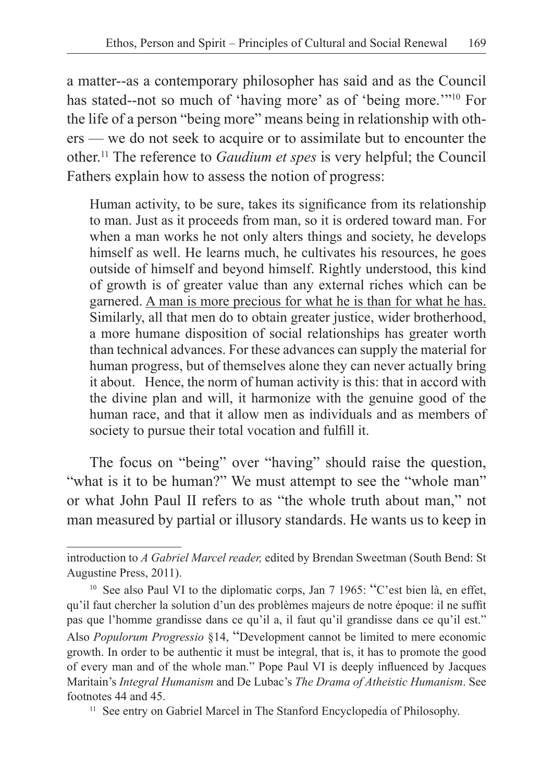a matter--as a contemporary philosopher has said and as the Council has stated--not so much of 'having more' as of 'being more.'"<sup>10</sup> For the life of a person "being more" means being in relationship with others — we do not seek to acquire or to assimilate but to encounter the other.<sup>11</sup> The reference to *Gaudium et spes* is very helpful; the Council Fathers explain how to assess the notion of progress:

Human activity, to be sure, takes its significance from its relationship to man. Just as it proceeds from man, so it is ordered toward man. For when a man works he not only alters things and society, he develops himself as well. He learns much, he cultivates his resources, he goes outside of himself and beyond himself. Rightly understood, this kind of growth is of greater value than any external riches which can be garnered. A man is more precious for what he is than for what he has. Similarly, all that men do to obtain greater justice, wider brotherhood, a more humane disposition of social relationships has greater worth than technical advances. For these advances can supply the material for human progress, but of themselves alone they can never actually bring it about. Hence, the norm of human activity is this: that in accord with the divine plan and will, it harmonize with the genuine good of the human race, and that it allow men as individuals and as members of society to pursue their total vocation and fulfill it.

The focus on "being" over "having" should raise the question, "what is it to be human?" We must attempt to see the "whole man" or what John Paul II refers to as "the whole truth about man," not man measured by partial or illusory standards. He wants us to keep in

introduction to *A Gabriel Marcel reader,* edited by Brendan Sweetman (South Bend: St Augustine Press, 2011).

<sup>&</sup>lt;sup>10</sup> See also Paul VI to the diplomatic corps, Jan 7 1965: "C'est bien là, en effet, qu'il faut chercher la solution d'un des problèmes majeurs de notre époque: il ne suffit pas que l'homme grandisse dans ce qu'il a, il faut qu'il grandisse dans ce qu'il est." Also *Populorum Progressio* §14, "Development cannot be limited to mere economic growth. In order to be authentic it must be integral, that is, it has to promote the good of every man and of the whole man." Pope Paul VI is deeply influenced by Jacques Maritain's *Integral Humanism* and De Lubac's *The Drama of Atheistic Humanism*. See footnotes 44 and 45.

<sup>&</sup>lt;sup>11</sup> See entry on Gabriel Marcel in The Stanford Encyclopedia of Philosophy.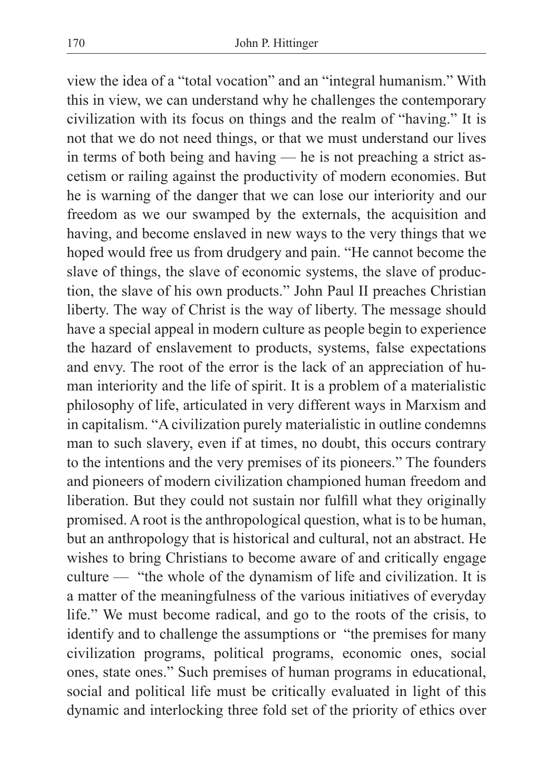view the idea of a "total vocation" and an "integral humanism." With this in view, we can understand why he challenges the contemporary civilization with its focus on things and the realm of "having." It is not that we do not need things, or that we must understand our lives in terms of both being and having — he is not preaching a strict ascetism or railing against the productivity of modern economies. But he is warning of the danger that we can lose our interiority and our freedom as we our swamped by the externals, the acquisition and having, and become enslaved in new ways to the very things that we hoped would free us from drudgery and pain. "He cannot become the slave of things, the slave of economic systems, the slave of production, the slave of his own products." John Paul II preaches Christian liberty. The way of Christ is the way of liberty. The message should have a special appeal in modern culture as people begin to experience the hazard of enslavement to products, systems, false expectations and envy. The root of the error is the lack of an appreciation of human interiority and the life of spirit. It is a problem of a materialistic philosophy of life, articulated in very different ways in Marxism and in capitalism. "A civilization purely materialistic in outline condemns man to such slavery, even if at times, no doubt, this occurs contrary to the intentions and the very premises of its pioneers." The founders and pioneers of modern civilization championed human freedom and liberation. But they could not sustain nor fulfill what they originally promised. A root is the anthropological question, what is to be human, but an anthropology that is historical and cultural, not an abstract. He wishes to bring Christians to become aware of and critically engage culture — "the whole of the dynamism of life and civilization. It is a matter of the meaningfulness of the various initiatives of everyday life." We must become radical, and go to the roots of the crisis, to identify and to challenge the assumptions or "the premises for many civilization programs, political programs, economic ones, social ones, state ones." Such premises of human programs in educational, social and political life must be critically evaluated in light of this dynamic and interlocking three fold set of the priority of ethics over